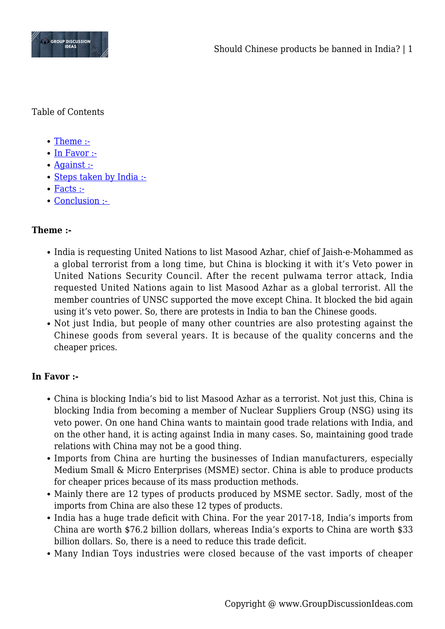

Table of Contents

- [Theme :-](#page--1-0)
- [In Favor :-](#page--1-0)
- [Against :-](#page--1-0)
- [Steps taken by India :-](#page--1-0)
- [Facts :-](#page--1-0)
- Conclusion :-

# **Theme :-**

- India is requesting United Nations to list Masood Azhar, chief of Jaish-e-Mohammed as a global terrorist from a long time, but China is blocking it with it's Veto power in United Nations Security Council. After the recent pulwama terror attack, India requested United Nations again to list Masood Azhar as a global terrorist. All the member countries of UNSC supported the move except China. It blocked the bid again using it's veto power. So, there are protests in India to ban the Chinese goods.
- Not just India, but people of many other countries are also protesting against the Chinese goods from several years. It is because of the quality concerns and the cheaper prices.

# **In Favor :-**

- China is blocking India's bid to list Masood Azhar as a terrorist. Not just this, China is blocking India from becoming a member of Nuclear Suppliers Group (NSG) using its veto power. On one hand China wants to maintain good trade relations with India, and on the other hand, it is acting against India in many cases. So, maintaining good trade relations with China may not be a good thing.
- Imports from China are hurting the businesses of Indian manufacturers, especially Medium Small & Micro Enterprises (MSME) sector. China is able to produce products for cheaper prices because of its mass production methods.
- Mainly there are 12 types of products produced by MSME sector. Sadly, most of the imports from China are also these 12 types of products.
- India has a huge trade deficit with China. For the year 2017-18, India's imports from China are worth \$76.2 billion dollars, whereas India's exports to China are worth \$33 billion dollars. So, there is a need to reduce this trade deficit.
- Many Indian Toys industries were closed because of the vast imports of cheaper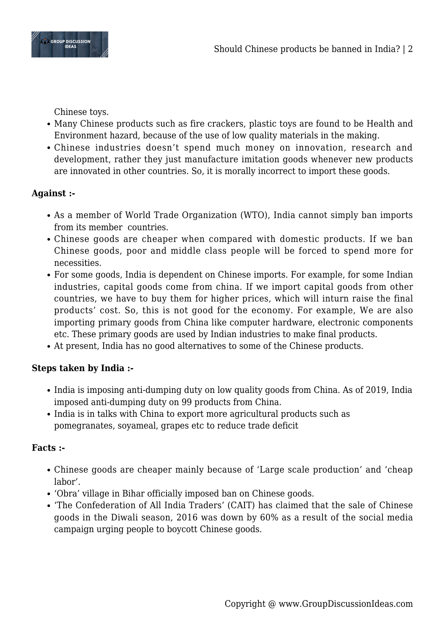

Chinese toys.

- Many Chinese products such as fire crackers, plastic toys are found to be Health and Environment hazard, because of the use of low quality materials in the making.
- Chinese industries doesn't spend much money on innovation, research and development, rather they just manufacture imitation goods whenever new products are innovated in other countries. So, it is morally incorrect to import these goods.

# **Against :-**

- As a member of World Trade Organization (WTO), India cannot simply ban imports from its member countries.
- Chinese goods are cheaper when compared with domestic products. If we ban Chinese goods, poor and middle class people will be forced to spend more for necessities.
- For some goods, India is dependent on Chinese imports. For example, for some Indian industries, capital goods come from china. If we import capital goods from other countries, we have to buy them for higher prices, which will inturn raise the final products' cost. So, this is not good for the economy. For example, We are also importing primary goods from China like computer hardware, electronic components etc. These primary goods are used by Indian industries to make final products.
- At present, India has no good alternatives to some of the Chinese products.

# **Steps taken by India :-**

- India is imposing anti-dumping duty on low quality goods from China. As of 2019, India imposed anti-dumping duty on 99 products from China.
- India is in talks with China to export more agricultural products such as pomegranates, soyameal, grapes etc to reduce trade deficit

#### **Facts :-**

- Chinese goods are cheaper mainly because of 'Large scale production' and 'cheap labor'.
- 'Obra' village in Bihar officially imposed ban on Chinese goods.
- 'The Confederation of All India Traders' (CAIT) has claimed that the sale of Chinese goods in the Diwali season, 2016 was down by 60% as a result of the social media campaign urging people to boycott Chinese goods.